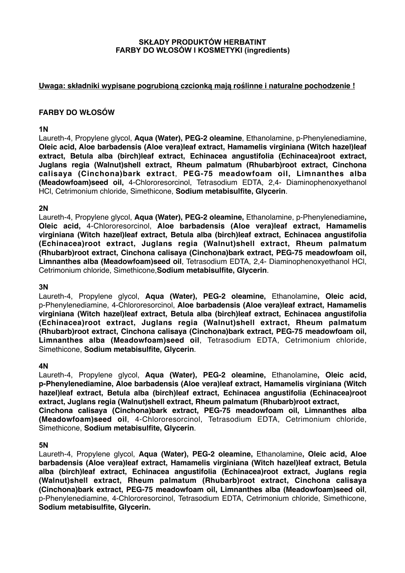#### **SKŁADY PRODUKTÓW HERBATINT FARBY DO WŁOSÓW I KOSMETYKI (ingredients)**

## **Uwaga: składniki wypisane pogrubioną czcionką mają roślinne i naturalne pochodzenie !**

# **FARBY DO WŁOSÓW**

#### **1N**

Laureth-4, Propylene glycol, **Aqua (Water), PEG-2 oleamine**, Ethanolamine, p-Phenylenediamine, **Oleic acid, Aloe barbadensis (Aloe vera)leaf extract, Hamamelis virginiana (Witch hazel)leaf extract, Betula alba (birch)leaf extract, Echinacea angustifolia (Echinacea)root extract, Juglans regia (Walnut)shell extract, Rheum palmatum (Rhubarb)root extract, Cinchona calisaya (Cinchona)bark extract**, **PEG-75 meadowfoam oil, Limnanthes alba (Meadowfoam)seed oil,** 4-Chlororesorcinol, Tetrasodium EDTA, 2,4- Diaminophenoxyethanol HCl, Cetrimonium chloride, Simethicone, **Sodium metabisulfite, Glycerin**.

## **2N**

Laureth-4, Propylene glycol, **Aqua (Water), PEG-2 oleamine,** Ethanolamine, p-Phenylenediamine**, Oleic acid,** 4-Chlororesorcinol, **Aloe barbadensis (Aloe vera)leaf extract, Hamamelis virginiana (Witch hazel)leaf extract, Betula alba (birch)leaf extract, Echinacea angustifolia (Echinacea)root extract, Juglans regia (Walnut)shell extract, Rheum palmatum (Rhubarb)root extract, Cinchona calisaya (Cinchona)bark extract, PEG-75 meadowfoam oil, Limnanthes alba (Meadowfoam)seed oil**, Tetrasodium EDTA, 2,4- Diaminophenoxyethanol HCl, Cetrimonium chloride, Simethicone,**Sodium metabisulfite, Glycerin**.

## **3N**

Laureth-4, Propylene glycol, **Aqua (Water), PEG-2 oleamine,** Ethanolamine**, Oleic acid,**  p-Phenylenediamine, 4-Chlororesorcinol, **Aloe barbadensis (Aloe vera)leaf extract, Hamamelis virginiana (Witch hazel)leaf extract, Betula alba (birch)leaf extract, Echinacea angustifolia (Echinacea)root extract, Juglans regia (Walnut)shell extract, Rheum palmatum (Rhubarb)root extract, Cinchona calisaya (Cinchona)bark extract, PEG-75 meadowfoam oil, Limnanthes alba (Meadowfoam)seed oil**, Tetrasodium EDTA, Cetrimonium chloride, Simethicone, **Sodium metabisulfite, Glycerin**.

## **4N**

Laureth-4, Propylene glycol, **Aqua (Water), PEG-2 oleamine,** Ethanolamine**, Oleic acid, p-Phenylenediamine, Aloe barbadensis (Aloe vera)leaf extract, Hamamelis virginiana (Witch hazel)leaf extract, Betula alba (birch)leaf extract, Echinacea angustifolia (Echinacea)root extract, Juglans regia (Walnut)shell extract, Rheum palmatum (Rhubarb)root extract, Cinchona calisaya (Cinchona)bark extract, PEG-75 meadowfoam oil, Limnanthes alba (Meadowfoam)seed oil**, 4-Chlororesorcinol, Tetrasodium EDTA, Cetrimonium chloride, Simethicone, **Sodium metabisulfite, Glycerin**.

## **5N**

Laureth-4, Propylene glycol, **Aqua (Water), PEG-2 oleamine,** Ethanolamine**, Oleic acid, Aloe barbadensis (Aloe vera)leaf extract, Hamamelis virginiana (Witch hazel)leaf extract, Betula alba (birch)leaf extract, Echinacea angustifolia (Echinacea)root extract, Juglans regia (Walnut)shell extract, Rheum palmatum (Rhubarb)root extract, Cinchona calisaya (Cinchona)bark extract, PEG-75 meadowfoam oil, Limnanthes alba (Meadowfoam)seed oil**, p-Phenylenediamine, 4-Chlororesorcinol, Tetrasodium EDTA, Cetrimonium chloride, Simethicone, **Sodium metabisulfite, Glycerin.**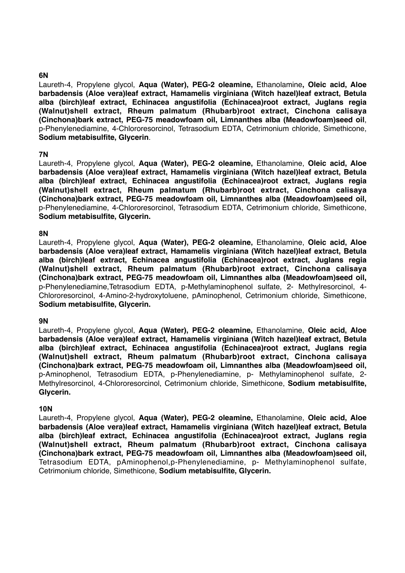# **6N**

Laureth-4, Propylene glycol, **Aqua (Water), PEG-2 oleamine,** Ethanolamine**, Oleic acid, Aloe barbadensis (Aloe vera)leaf extract, Hamamelis virginiana (Witch hazel)leaf extract, Betula alba (birch)leaf extract, Echinacea angustifolia (Echinacea)root extract, Juglans regia (Walnut)shell extract, Rheum palmatum (Rhubarb)root extract, Cinchona calisaya (Cinchona)bark extract, PEG-75 meadowfoam oil, Limnanthes alba (Meadowfoam)seed oil**, p-Phenylenediamine, 4-Chlororesorcinol, Tetrasodium EDTA, Cetrimonium chloride, Simethicone, **Sodium metabisulfite, Glycerin**.

## **7N**

Laureth-4, Propylene glycol, **Aqua (Water), PEG-2 oleamine,** Ethanolamine, **Oleic acid, Aloe barbadensis (Aloe vera)leaf extract, Hamamelis virginiana (Witch hazel)leaf extract, Betula alba (birch)leaf extract, Echinacea angustifolia (Echinacea)root extract, Juglans regia (Walnut)shell extract, Rheum palmatum (Rhubarb)root extract, Cinchona calisaya (Cinchona)bark extract, PEG-75 meadowfoam oil, Limnanthes alba (Meadowfoam)seed oil,** p-Phenylenediamine, 4-Chlororesorcinol, Tetrasodium EDTA, Cetrimonium chloride, Simethicone, **Sodium metabisulfite, Glycerin.**

#### **8N**

Laureth-4, Propylene glycol, **Aqua (Water), PEG-2 oleamine,** Ethanolamine, **Oleic acid, Aloe barbadensis (Aloe vera)leaf extract, Hamamelis virginiana (Witch hazel)leaf extract, Betula alba (birch)leaf extract, Echinacea angustifolia (Echinacea)root extract, Juglans regia (Walnut)shell extract, Rheum palmatum (Rhubarb)root extract, Cinchona calisaya (Cinchona)bark extract, PEG-75 meadowfoam oil, Limnanthes alba (Meadowfoam)seed oil,** p-Phenylenediamine,Tetrasodium EDTA, p-Methylaminophenol sulfate, 2- Methylresorcinol, 4- Chlororesorcinol, 4-Amino-2-hydroxytoluene, pAminophenol, Cetrimonium chloride, Simethicone, **Sodium metabisulfite, Glycerin.**

#### **9N**

Laureth-4, Propylene glycol, **Aqua (Water), PEG-2 oleamine,** Ethanolamine, **Oleic acid, Aloe barbadensis (Aloe vera)leaf extract, Hamamelis virginiana (Witch hazel)leaf extract, Betula alba (birch)leaf extract, Echinacea angustifolia (Echinacea)root extract, Juglans regia (Walnut)shell extract, Rheum palmatum (Rhubarb)root extract, Cinchona calisaya (Cinchona)bark extract, PEG-75 meadowfoam oil, Limnanthes alba (Meadowfoam)seed oil,** p-Aminophenol, Tetrasodium EDTA, p-Phenylenediamine, p- Methylaminophenol sulfate, 2- Methylresorcinol, 4-Chlororesorcinol, Cetrimonium chloride, Simethicone, **Sodium metabisulfite, Glycerin.**

#### **10N**

Laureth-4, Propylene glycol, **Aqua (Water), PEG-2 oleamine,** Ethanolamine, **Oleic acid, Aloe barbadensis (Aloe vera)leaf extract, Hamamelis virginiana (Witch hazel)leaf extract, Betula alba (birch)leaf extract, Echinacea angustifolia (Echinacea)root extract, Juglans regia (Walnut)shell extract, Rheum palmatum (Rhubarb)root extract, Cinchona calisaya (Cinchona)bark extract, PEG-75 meadowfoam oil, Limnanthes alba (Meadowfoam)seed oil,** Tetrasodium EDTA, pAminophenol,p-Phenylenediamine, p- Methylaminophenol sulfate, Cetrimonium chloride, Simethicone, **Sodium metabisulfite, Glycerin.**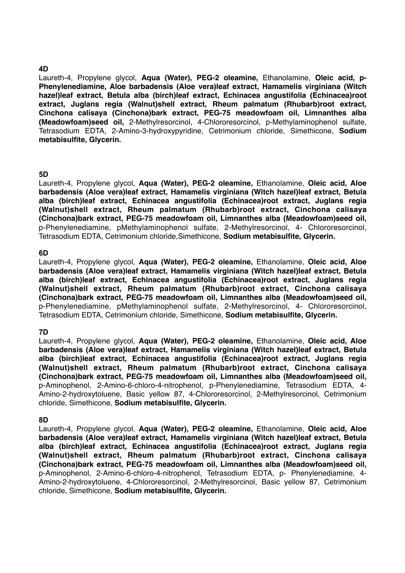#### **4D**

Laureth-4, Propylene glycol, **Aqua (Water), PEG-2 oleamine,** Ethanolamine, **Oleic acid, p-Phenylenediamine, Aloe barbadensis (Aloe vera)leaf extract, Hamamelis virginiana (Witch hazel)leaf extract, Betula alba (birch)leaf extract, Echinacea angustifolia (Echinacea)root extract, Juglans regia (Walnut)shell extract, Rheum palmatum (Rhubarb)root extract, Cinchona calisaya (Cinchona)bark extract, PEG-75 meadowfoam oil, Limnanthes alba (Meadowfoam)seed oil,** 2-Methylresorcinol, 4-Chlororesorcinol, p-Methylaminophenol sulfate, Tetrasodium EDTA, 2-Amino-3-hydroxypyridine, Cetrimonium chloride, Simethicone, **Sodium metabisulfite, Glycerin.**

## **5D**

Laureth-4, Propylene glycol, **Aqua (Water), PEG-2 oleamine,** Ethanolamine, **Oleic acid, Aloe barbadensis (Aloe vera)leaf extract, Hamamelis virginiana (Witch hazel)leaf extract, Betula alba (birch)leaf extract, Echinacea angustifolia (Echinacea)root extract, Juglans regia (Walnut)shell extract, Rheum palmatum (Rhubarb)root extract, Cinchona calisaya (Cinchona)bark extract, PEG-75 meadowfoam oil, Limnanthes alba (Meadowfoam)seed oil,** p-Phenylenediamine, pMethylaminophenol sulfate, 2-Methylresorcinol, 4- Chlororesorcinol, Tetrasodium EDTA, Cetrimonium chloride,Simethicone, **Sodium metabisulfite, Glycerin.** 

#### **6D**

Laureth-4, Propylene glycol, **Aqua (Water), PEG-2 oleamine,** Ethanolamine, **Oleic acid, Aloe barbadensis (Aloe vera)leaf extract, Hamamelis virginiana (Witch hazel)leaf extract, Betula alba (birch)leaf extract, Echinacea angustifolia (Echinacea)root extract, Juglans regia (Walnut)shell extract, Rheum palmatum (Rhubarb)root extract, Cinchona calisaya (Cinchona)bark extract, PEG-75 meadowfoam oil, Limnanthes alba (Meadowfoam)seed oil,** p-Phenylenediamine, pMethylaminophenol sulfate, 2-Methylresorcinol, 4- Chlororesorcinol, Tetrasodium EDTA, Cetrimonium chloride, Simethicone, **Sodium metabisulfite, Glycerin.**

## **7D**

Laureth-4, Propylene glycol, **Aqua (Water), PEG-2 oleamine,** Ethanolamine, **Oleic acid, Aloe barbadensis (Aloe vera)leaf extract, Hamamelis virginiana (Witch hazel)leaf extract, Betula alba (birch)leaf extract, Echinacea angustifolia (Echinacea)root extract, Juglans regia (Walnut)shell extract, Rheum palmatum (Rhubarb)root extract, Cinchona calisaya (Cinchona)bark extract, PEG-75 meadowfoam oil, Limnanthes alba (Meadowfoam)seed oil,** p-Aminophenol, 2-Amino-6-chloro-4-nitrophenol, p-Phenylenediamine, Tetrasodium EDTA, 4- Amino-2-hydroxytoluene, Basic yellow 87, 4-Chlororesorcinol, 2-Methylresorcinol, Cetrimonium chloride, Simethicone, **Sodium metabisulfite, Glycerin.**

## **8D**

Laureth-4, Propylene glycol, **Aqua (Water), PEG-2 oleamine,** Ethanolamine, **Oleic acid, Aloe barbadensis (Aloe vera)leaf extract, Hamamelis virginiana (Witch hazel)leaf extract, Betula alba (birch)leaf extract, Echinacea angustifolia (Echinacea)root extract, Juglans regia (Walnut)shell extract, Rheum palmatum (Rhubarb)root extract, Cinchona calisaya (Cinchona)bark extract, PEG-75 meadowfoam oil, Limnanthes alba (Meadowfoam)seed oil,** p-Aminophenol, 2-Amino-6-chloro-4-nitrophenol, Tetrasodium EDTA, p- Phenylenediamine, 4- Amino-2-hydroxytoluene, 4-Chlororesorcinol, 2-Methylresorcinol, Basic yellow 87, Cetrimonium chloride, Simethicone, **Sodium metabisulfite, Glycerin.**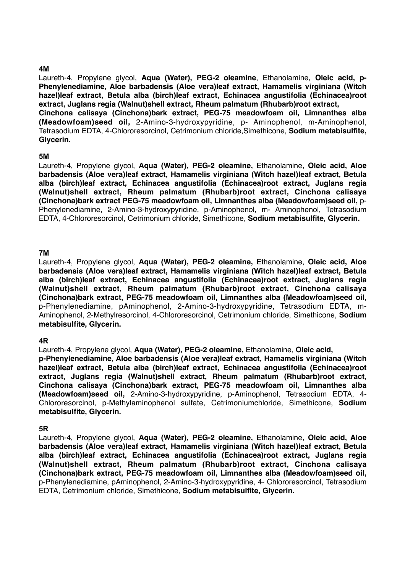#### **4M**

Laureth-4, Propylene glycol, **Aqua (Water), PEG-2 oleamine**, Ethanolamine, **Oleic acid, p-Phenylenediamine, Aloe barbadensis (Aloe vera)leaf extract, Hamamelis virginiana (Witch hazel)leaf extract, Betula alba (birch)leaf extract, Echinacea angustifolia (Echinacea)root extract, Juglans regia (Walnut)shell extract, Rheum palmatum (Rhubarb)root extract, Cinchona calisaya (Cinchona)bark extract, PEG-75 meadowfoam oil, Limnanthes alba (Meadowfoam)seed oil,** 2-Amino-3-hydroxypyridine, p- Aminophenol, m-Aminophenol, Tetrasodium EDTA, 4-Chlororesorcinol, Cetrimonium chloride,Simethicone, **Sodium metabisulfite, Glycerin.**

#### **5M**

Laureth-4, Propylene glycol, **Aqua (Water), PEG-2 oleamine,** Ethanolamine, **Oleic acid, Aloe barbadensis (Aloe vera)leaf extract, Hamamelis virginiana (Witch hazel)leaf extract, Betula alba (birch)leaf extract, Echinacea angustifolia (Echinacea)root extract, Juglans regia (Walnut)shell extract, Rheum palmatum (Rhubarb)root extract, Cinchona calisaya (Cinchona)bark extract PEG-75 meadowfoam oil, Limnanthes alba (Meadowfoam)seed oil,** p-Phenylenediamine, 2-Amino-3-hydroxypyridine, p-Aminophenol, m- Aminophenol, Tetrasodium EDTA, 4-Chlororesorcinol, Cetrimonium chloride, Simethicone, **Sodium metabisulfite, Glycerin.**

#### **7M**

Laureth-4, Propylene glycol, **Aqua (Water), PEG-2 oleamine,** Ethanolamine, **Oleic acid, Aloe barbadensis (Aloe vera)leaf extract, Hamamelis virginiana (Witch hazel)leaf extract, Betula alba (birch)leaf extract, Echinacea angustifolia (Echinacea)root extract, Juglans regia (Walnut)shell extract, Rheum palmatum (Rhubarb)root extract, Cinchona calisaya (Cinchona)bark extract, PEG-75 meadowfoam oil, Limnanthes alba (Meadowfoam)seed oil,** p-Phenylenediamine, pAminophenol, 2-Amino-3-hydroxypyridine, Tetrasodium EDTA, m-Aminophenol, 2-Methylresorcinol, 4-Chlororesorcinol, Cetrimonium chloride, Simethicone, **Sodium metabisulfite, Glycerin.**

#### **4R**

Laureth-4, Propylene glycol, **Aqua (Water), PEG-2 oleamine,** Ethanolamine, **Oleic acid,** 

**p-Phenylenediamine, Aloe barbadensis (Aloe vera)leaf extract, Hamamelis virginiana (Witch hazel)leaf extract, Betula alba (birch)leaf extract, Echinacea angustifolia (Echinacea)root extract, Juglans regia (Walnut)shell extract, Rheum palmatum (Rhubarb)root extract, Cinchona calisaya (Cinchona)bark extract, PEG-75 meadowfoam oil, Limnanthes alba (Meadowfoam)seed oil,** 2-Amino-3-hydroxypyridine, p-Aminophenol, Tetrasodium EDTA, 4- Chlororesorcinol, p-Methylaminophenol sulfate, Cetrimoniumchloride, Simethicone, **Sodium metabisulfite, Glycerin.**

#### **5R**

Laureth-4, Propylene glycol, **Aqua (Water), PEG-2 oleamine,** Ethanolamine, **Oleic acid, Aloe barbadensis (Aloe vera)leaf extract, Hamamelis virginiana (Witch hazel)leaf extract, Betula alba (birch)leaf extract, Echinacea angustifolia (Echinacea)root extract, Juglans regia (Walnut)shell extract, Rheum palmatum (Rhubarb)root extract, Cinchona calisaya (Cinchona)bark extract, PEG-75 meadowfoam oil, Limnanthes alba (Meadowfoam)seed oil,** p-Phenylenediamine, pAminophenol, 2-Amino-3-hydroxypyridine, 4- Chlororesorcinol, Tetrasodium EDTA, Cetrimonium chloride, Simethicone, **Sodium metabisulfite, Glycerin.**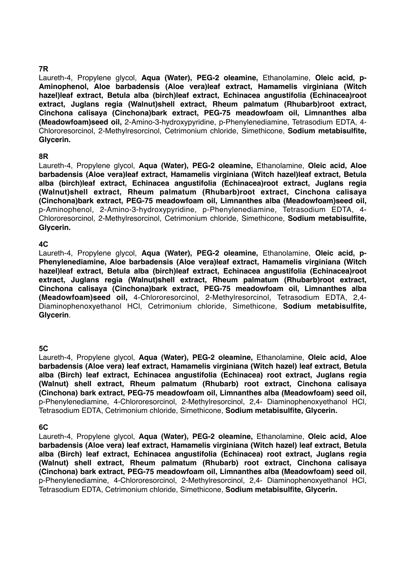# **7R**

Laureth-4, Propylene glycol, **Aqua (Water), PEG-2 oleamine,** Ethanolamine, **Oleic acid, p-Aminophenol, Aloe barbadensis (Aloe vera)leaf extract, Hamamelis virginiana (Witch hazel)leaf extract, Betula alba (birch)leaf extract, Echinacea angustifolia (Echinacea)root extract, Juglans regia (Walnut)shell extract, Rheum palmatum (Rhubarb)root extract, Cinchona calisaya (Cinchona)bark extract, PEG-75 meadowfoam oil, Limnanthes alba (Meadowfoam)seed oil,** 2-Amino-3-hydroxypyridine, p-Phenylenediamine, Tetrasodium EDTA, 4- Chlororesorcinol, 2-Methylresorcinol, Cetrimonium chloride, Simethicone, **Sodium metabisulfite, Glycerin.**

## **8R**

Laureth-4, Propylene glycol, **Aqua (Water), PEG-2 oleamine,** Ethanolamine, **Oleic acid, Aloe barbadensis (Aloe vera)leaf extract, Hamamelis virginiana (Witch hazel)leaf extract, Betula alba (birch)leaf extract, Echinacea angustifolia (Echinacea)root extract, Juglans regia (Walnut)shell extract, Rheum palmatum (Rhubarb)root extract, Cinchona calisaya (Cinchona)bark extract, PEG-75 meadowfoam oil, Limnanthes alba (Meadowfoam)seed oil,** p-Aminophenol, 2-Amino-3-hydroxypyridine, p-Phenylenediamine, Tetrasodium EDTA, 4- Chlororesorcinol, 2-Methylresorcinol, Cetrimonium chloride, Simethicone, **Sodium metabisulfite, Glycerin.**

# **4C**

Laureth-4, Propylene glycol, **Aqua (Water), PEG-2 oleamine,** Ethanolamine, **Oleic acid, p-Phenylenediamine, Aloe barbadensis (Aloe vera)leaf extract, Hamamelis virginiana (Witch hazel)leaf extract, Betula alba (birch)leaf extract, Echinacea angustifolia (Echinacea)root extract, Juglans regia (Walnut)shell extract, Rheum palmatum (Rhubarb)root extract, Cinchona calisaya (Cinchona)bark extract, PEG-75 meadowfoam oil, Limnanthes alba (Meadowfoam)seed oil,** 4-Chlororesorcinol, 2-Methylresorcinol, Tetrasodium EDTA, 2,4- Diaminophenoxyethanol HCl, Cetrimonium chloride, Simethicone, **Sodium metabisulfite, Glycerin**.

## **5C**

Laureth-4, Propylene glycol, **Aqua (Water), PEG-2 oleamine,** Ethanolamine, **Oleic acid, Aloe barbadensis (Aloe vera) leaf extract, Hamamelis virginiana (Witch hazel) leaf extract, Betula alba (Birch) leaf extract, Echinacea angustifolia (Echinacea) root extract, Juglans regia (Walnut) shell extract, Rheum palmatum (Rhubarb) root extract, Cinchona calisaya (Cinchona) bark extract, PEG-75 meadowfoam oil, Limnanthes alba (Meadowfoam) seed oil,** p-Phenylenediamine, 4-Chlororesorcinol, 2-Methylresorcinol, 2,4- Diaminophenoxyethanol HCl, Tetrasodium EDTA, Cetrimonium chloride, Simethicone, **Sodium metabisulfite, Glycerin.**

## **6C**

Laureth-4, Propylene glycol, **Aqua (Water), PEG-2 oleamine,** Ethanolamine, **Oleic acid, Aloe barbadensis (Aloe vera) leaf extract, Hamamelis virginiana (Witch hazel) leaf extract, Betula alba (Birch) leaf extract, Echinacea angustifolia (Echinacea) root extract, Juglans regia (Walnut) shell extract, Rheum palmatum (Rhubarb) root extract, Cinchona calisaya (Cinchona) bark extract, PEG-75 meadowfoam oil, Limnanthes alba (Meadowfoam) seed oil**, p-Phenylenediamine, 4-Chlororesorcinol, 2-Methylresorcinol, 2,4- Diaminophenoxyethanol HCl, Tetrasodium EDTA, Cetrimonium chloride, Simethicone, **Sodium metabisulfite, Glycerin.**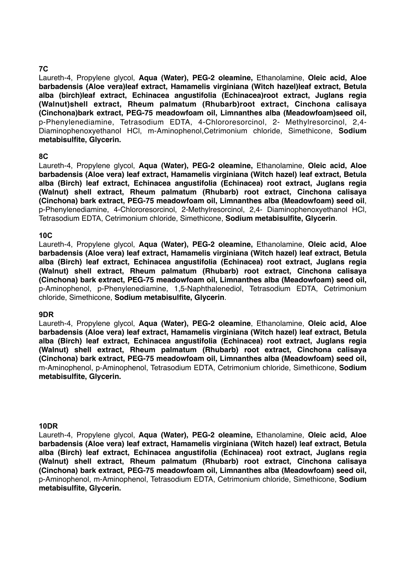# **7C**

Laureth-4, Propylene glycol, **Aqua (Water), PEG-2 oleamine,** Ethanolamine, **Oleic acid, Aloe barbadensis (Aloe vera)leaf extract, Hamamelis virginiana (Witch hazel)leaf extract, Betula alba (birch)leaf extract, Echinacea angustifolia (Echinacea)root extract, Juglans regia (Walnut)shell extract, Rheum palmatum (Rhubarb)root extract, Cinchona calisaya (Cinchona)bark extract, PEG-75 meadowfoam oil, Limnanthes alba (Meadowfoam)seed oil,** p-Phenylenediamine, Tetrasodium EDTA, 4-Chlororesorcinol, 2- Methylresorcinol, 2,4- Diaminophenoxyethanol HCl, m-Aminophenol,Cetrimonium chloride, Simethicone, **Sodium metabisulfite, Glycerin.** 

## **8C**

Laureth-4, Propylene glycol, **Aqua (Water), PEG-2 oleamine,** Ethanolamine, **Oleic acid, Aloe barbadensis (Aloe vera) leaf extract, Hamamelis virginiana (Witch hazel) leaf extract, Betula alba (Birch) leaf extract, Echinacea angustifolia (Echinacea) root extract, Juglans regia (Walnut) shell extract, Rheum palmatum (Rhubarb) root extract, Cinchona calisaya (Cinchona) bark extract, PEG-75 meadowfoam oil, Limnanthes alba (Meadowfoam) seed oil**, p-Phenylenediamine, 4-Chlororesorcinol, 2-Methylresorcinol, 2,4- Diaminophenoxyethanol HCl, Tetrasodium EDTA, Cetrimonium chloride, Simethicone, **Sodium metabisulfite, Glycerin**.

#### **10C**

Laureth-4, Propylene glycol, **Aqua (Water), PEG-2 oleamine,** Ethanolamine, **Oleic acid, Aloe barbadensis (Aloe vera) leaf extract, Hamamelis virginiana (Witch hazel) leaf extract, Betula alba (Birch) leaf extract, Echinacea angustifolia (Echinacea) root extract, Juglans regia (Walnut) shell extract, Rheum palmatum (Rhubarb) root extract, Cinchona calisaya (Cinchona) bark extract, PEG-75 meadowfoam oil, Limnanthes alba (Meadowfoam) seed oil,** p-Aminophenol, p-Phenylenediamine, 1,5-Naphthalenediol, Tetrasodium EDTA, Cetrimonium chloride, Simethicone, **Sodium metabisulfite, Glycerin**.

## **9DR**

Laureth-4, Propylene glycol, **Aqua (Water), PEG-2 oleamine**, Ethanolamine, **Oleic acid, Aloe barbadensis (Aloe vera) leaf extract, Hamamelis virginiana (Witch hazel) leaf extract, Betula alba (Birch) leaf extract, Echinacea angustifolia (Echinacea) root extract, Juglans regia (Walnut) shell extract, Rheum palmatum (Rhubarb) root extract, Cinchona calisaya (Cinchona) bark extract, PEG-75 meadowfoam oil, Limnanthes alba (Meadowfoam) seed oil,** m-Aminophenol, p-Aminophenol, Tetrasodium EDTA, Cetrimonium chloride, Simethicone, **Sodium metabisulfite, Glycerin.**

#### **10DR**

Laureth-4, Propylene glycol, **Aqua (Water), PEG-2 oleamine,** Ethanolamine, **Oleic acid, Aloe barbadensis (Aloe vera) leaf extract, Hamamelis virginiana (Witch hazel) leaf extract, Betula alba (Birch) leaf extract, Echinacea angustifolia (Echinacea) root extract, Juglans regia (Walnut) shell extract, Rheum palmatum (Rhubarb) root extract, Cinchona calisaya (Cinchona) bark extract, PEG-75 meadowfoam oil, Limnanthes alba (Meadowfoam) seed oil,** p-Aminophenol, m-Aminophenol, Tetrasodium EDTA, Cetrimonium chloride, Simethicone, **Sodium metabisulfite, Glycerin.**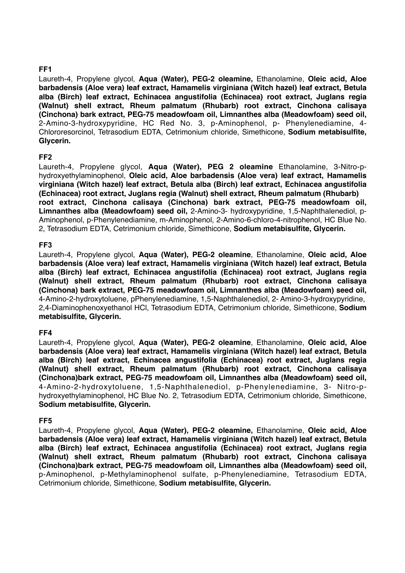# **FF1**

Laureth-4, Propylene glycol, **Aqua (Water), PEG-2 oleamine,** Ethanolamine, **Oleic acid, Aloe barbadensis (Aloe vera) leaf extract, Hamamelis virginiana (Witch hazel) leaf extract, Betula alba (Birch) leaf extract, Echinacea angustifolia (Echinacea) root extract, Juglans regia (Walnut) shell extract, Rheum palmatum (Rhubarb) root extract, Cinchona calisaya (Cinchona) bark extract, PEG-75 meadowfoam oil, Limnanthes alba (Meadowfoam) seed oil,** 2-Amino-3-hydroxypyridine, HC Red No. 3, p-Aminophenol, p- Phenylenediamine, 4- Chlororesorcinol, Tetrasodium EDTA, Cetrimonium chloride, Simethicone, **Sodium metabisulfite, Glycerin.**

# **FF2**

Laureth-4, Propylene glycol, **Aqua (Water), PEG 2 oleamine** Ethanolamine, 3-Nitro-phydroxyethylaminophenol, **Oleic acid, Aloe barbadensis (Aloe vera) leaf extract, Hamamelis virginiana (Witch hazel) leaf extract, Betula alba (Birch) leaf extract, Echinacea angustifolia (Echinacea) root extract, Juglans regia (Walnut) shell extract, Rheum palmatum (Rhubarb) root extract, Cinchona calisaya (Cinchona) bark extract, PEG-75 meadowfoam oil, Limnanthes alba (Meadowfoam) seed oil,** 2-Amino-3- hydroxypyridine, 1,5-Naphthalenediol, p-Aminophenol, p-Phenylenediamine, m-Aminophenol, 2-Amino-6-chloro-4-nitrophenol, HC Blue No. 2, Tetrasodium EDTA, Cetrimonium chloride, Simethicone, **Sodium metabisulfite, Glycerin.**

# **FF3**

Laureth-4, Propylene glycol, **Aqua (Water), PEG-2 oleamine**, Ethanolamine, **Oleic acid, Aloe barbadensis (Aloe vera) leaf extract, Hamamelis virginiana (Witch hazel) leaf extract, Betula alba (Birch) leaf extract, Echinacea angustifolia (Echinacea) root extract, Juglans regia (Walnut) shell extract, Rheum palmatum (Rhubarb) root extract, Cinchona calisaya (Cinchona) bark extract, PEG-75 meadowfoam oil, Limnanthes alba (Meadowfoam) seed oil,** 4-Amino-2-hydroxytoluene, pPhenylenediamine, 1,5-Naphthalenediol, 2- Amino-3-hydroxypyridine, 2,4-Diaminophenoxyethanol HCl, Tetrasodium EDTA, Cetrimonium chloride, Simethicone, **Sodium metabisulfite, Glycerin.** 

## **FF4**

Laureth-4, Propylene glycol, **Aqua (Water), PEG-2 oleamine**, Ethanolamine, **Oleic acid, Aloe barbadensis (Aloe vera) leaf extract, Hamamelis virginiana (Witch hazel) leaf extract, Betula alba (Birch) leaf extract, Echinacea angustifolia (Echinacea) root extract, Juglans regia (Walnut) shell extract, Rheum palmatum (Rhubarb) root extract, Cinchona calisaya (Cinchona)bark extract, PEG-75 meadowfoam oil, Limnanthes alba (Meadowfoam) seed oil,** 4-Amino-2-hydroxytoluene, 1,5-Naphthalenediol, p-Phenylenediamine, 3- Nitro-phydroxyethylaminophenol, HC Blue No. 2, Tetrasodium EDTA, Cetrimonium chloride, Simethicone, **Sodium metabisulfite, Glycerin.**

## **FF5**

Laureth-4, Propylene glycol, **Aqua (Water), PEG-2 oleamine,** Ethanolamine, **Oleic acid, Aloe barbadensis (Aloe vera) leaf extract, Hamamelis virginiana (Witch hazel) leaf extract, Betula alba (Birch) leaf extract, Echinacea angustifolia (Echinacea) root extract, Juglans regia (Walnut) shell extract, Rheum palmatum (Rhubarb) root extract, Cinchona calisaya (Cinchona)bark extract, PEG-75 meadowfoam oil, Limnanthes alba (Meadowfoam) seed oil,** p-Aminophenol, p-Methylaminophenol sulfate, p-Phenylenediamine, Tetrasodium EDTA, Cetrimonium chloride, Simethicone, **Sodium metabisulfite, Glycerin.**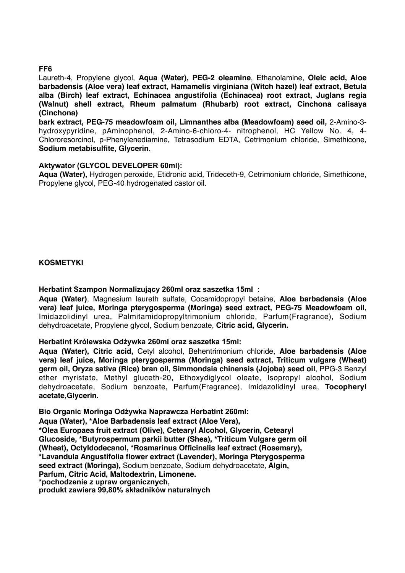#### **FF6**

Laureth-4, Propylene glycol, **Aqua (Water), PEG-2 oleamine**, Ethanolamine, **Oleic acid, Aloe barbadensis (Aloe vera) leaf extract, Hamamelis virginiana (Witch hazel) leaf extract, Betula alba (Birch) leaf extract, Echinacea angustifolia (Echinacea) root extract, Juglans regia (Walnut) shell extract, Rheum palmatum (Rhubarb) root extract, Cinchona calisaya (Cinchona)**

**bark extract, PEG-75 meadowfoam oil, Limnanthes alba (Meadowfoam) seed oil,** 2-Amino-3 hydroxypyridine, pAminophenol, 2-Amino-6-chloro-4- nitrophenol, HC Yellow No. 4, 4- Chlororesorcinol, p-Phenylenediamine, Tetrasodium EDTA, Cetrimonium chloride, Simethicone, **Sodium metabisulfite, Glycerin**.

#### **Aktywator (GLYCOL DEVELOPER 60ml):**

**Aqua (Water),** Hydrogen peroxide, Etidronic acid, Trideceth-9, Cetrimonium chloride, Simethicone, Propylene glycol, PEG-40 hydrogenated castor oil.

#### **KOSMETYKI**

#### **Herbatint Szampon Normalizujący 260ml oraz saszetka 15ml** :

**Aqua (Water)**, Magnesium laureth sulfate, Cocamidopropyl betaine, **Aloe barbadensis (Aloe vera) leaf juice, Moringa pterygosperma (Moringa) seed extract, PEG-75 Meadowfoam oil,** Imidazolidinyl urea, Palmitamidopropyltrimonium chloride, Parfum(Fragrance), Sodium dehydroacetate, Propylene glycol, Sodium benzoate, **Citric acid, Glycerin.**

## **Herbatint Królewska Odżywka 260ml oraz saszetka 15ml:**

**Aqua (Water), Citric acid,** Cetyl alcohol, Behentrimonium chloride, **Aloe barbadensis (Aloe vera) leaf juice, Moringa pterygosperma (Moringa) seed extract, Triticum vulgare (Wheat) germ oil, Oryza sativa (Rice) bran oil, Simmondsia chinensis (Jojoba) seed oil**, PPG-3 Benzyl ether myristate, Methyl gluceth-20, Ethoxydiglycol oleate, Isopropyl alcohol, Sodium dehydroacetate, Sodium benzoate, Parfum(Fragrance), Imidazolidinyl urea, **Tocopheryl acetate,Glycerin.**

**Bio Organic Moringa Odżywka Naprawcza Herbatint 260ml:**

**Aqua (Water), \*Aloe Barbadensis leaf extract (Aloe Vera), \*Olea Europaea fruit extract (Olive), Cetearyl Alcohol, Glycerin, Cetearyl Glucoside, \*Butyrospermum parkii butter (Shea), \*Triticum Vulgare germ oil (Wheat), Octyldodecanol, \*Rosmarinus Officinalis leaf extract (Rosemary), \*Lavandula Angustifolia flower extract (Lavender), Moringa Pterygosperma seed extract (Moringa),** Sodium benzoate, Sodium dehydroacetate, **Algin, Parfum, Citric Acid, Maltodextrin, Limonene. \*pochodzenie z upraw organicznych, produkt zawiera 99,80% składników naturalnych**